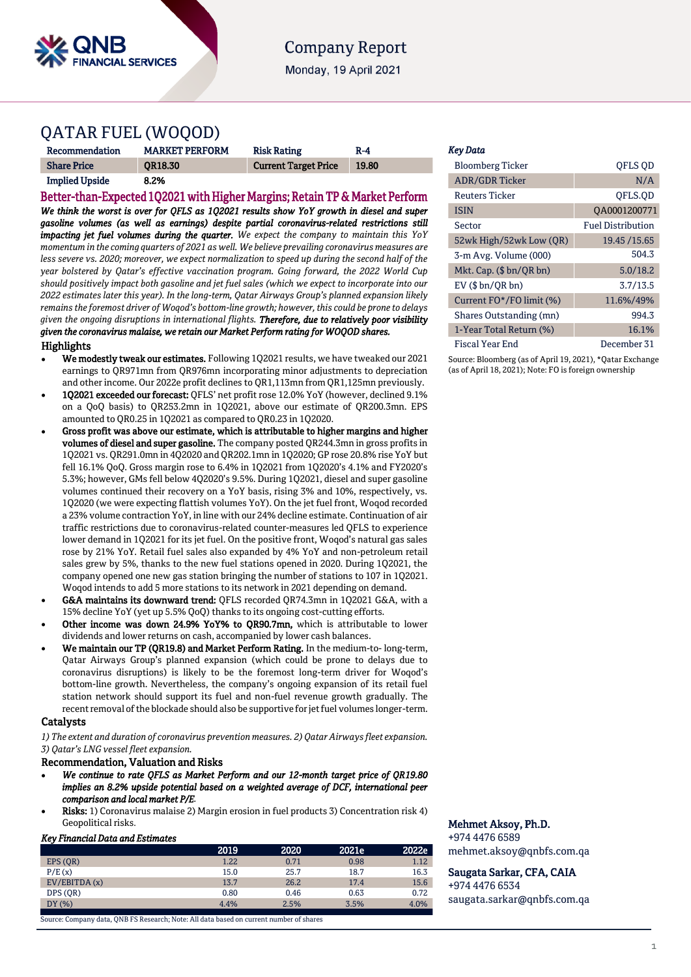

# **Company Report**

Monday, 19 April 2021

# QATAR FUEL (WOQOD)

| Recommendation        | <b>MARKET PERFORM</b> | <b>Risk Rating</b>          | $R-4$ |
|-----------------------|-----------------------|-----------------------------|-------|
| <b>Share Price</b>    | <b>OR18.30</b>        | <b>Current Target Price</b> | 19.80 |
| <b>Implied Upside</b> | 8.2%                  |                             |       |

Better-than-Expected 1Q2021 with Higher Margins; Retain TP & Market Perform *We think the worst is over for QFLS as 1Q2021 results show YoY growth in diesel and super gasoline volumes (as well as earnings) despite partial coronavirus-related restrictions still impacting jet fuel volumes during the quarter. We expect the company to maintain this YoY momentum in the coming quarters of 2021 as well. We believe prevailing coronavirus measures are less severe vs. 2020; moreover, we expect normalization to speed up during the second half of the year bolstered by Qatar's effective vaccination program. Going forward, the 2022 World Cup should positively impact both gasoline and jet fuel sales (which we expect to incorporate into our 2022 estimates later this year). In the long-term, Qatar Airways Group's planned expansion likely remains the foremost driver of Woqod's bottom-line growth; however, this could be prone to delays given the ongoing disruptions in international flights. Therefore, due to relatively poor visibility given the coronavirus malaise, we retain our Market Perform rating for WOQOD shares.* Highlights

- We modestly tweak our estimates. Following 1Q2021 results, we have tweaked our 2021 earnings to QR971mn from QR976mn incorporating minor adjustments to depreciation and other income. Our 2022e profit declines to QR1,113mn from QR1,125mn previously.
- 1Q2021 exceeded our forecast: QFLS' net profit rose 12.0% YoY (however, declined 9.1% on a QoQ basis) to QR253.2mn in 1Q2021, above our estimate of QR200.3mn. EPS amounted to QR0.25 in 1Q2021 as compared to QR0.23 in 1Q2020.
- Gross profit was above our estimate, which is attributable to higher margins and higher volumes of diesel and super gasoline. The company posted QR244.3mn in gross profits in 1Q2021 vs. QR291.0mn in 4Q2020 and QR202.1mn in 1Q2020; GP rose 20.8% rise YoY but fell 16.1% QoQ. Gross margin rose to 6.4% in 1Q2021 from 1Q2020's 4.1% and FY2020's 5.3%; however, GMs fell below 4Q2020's 9.5%. During 1Q2021, diesel and super gasoline volumes continued their recovery on a YoY basis, rising 3% and 10%, respectively, vs. 1Q2020 (we were expecting flattish volumes YoY). On the jet fuel front, Woqod recorded a 23% volume contraction YoY, in line with our 24% decline estimate. Continuation of air traffic restrictions due to coronavirus-related counter-measures led QFLS to experience lower demand in 1Q2021 for its jet fuel. On the positive front, Woqod's natural gas sales rose by 21% YoY. Retail fuel sales also expanded by 4% YoY and non-petroleum retail sales grew by 5%, thanks to the new fuel stations opened in 2020. During 1Q2021, the company opened one new gas station bringing the number of stations to 107 in 1Q2021. Woqod intends to add 5 more stations to its network in 2021 depending on demand.
- G&A maintains its downward trend: QFLS recorded QR74.3mn in 1Q2021 G&A, with a 15% decline YoY (yet up 5.5% QoQ) thanks to its ongoing cost-cutting efforts.
- Other income was down 24.9% YoY% to QR90.7mn, which is attributable to lower dividends and lower returns on cash, accompanied by lower cash balances.
- We maintain our TP (QR19.8) and Market Perform Rating. In the medium-to- long-term, Qatar Airways Group's planned expansion (which could be prone to delays due to coronavirus disruptions) is likely to be the foremost long-term driver for Woqod's bottom-line growth. Nevertheless, the company's ongoing expansion of its retail fuel station network should support its fuel and non-fuel revenue growth gradually. The recent removal of the blockade should also be supportive for jet fuel volumes longer-term.

# Catalysts

*1) The extent and duration of coronavirus prevention measures. 2) Qatar Airways fleet expansion. 3) Qatar's LNG vessel fleet expansion.* 

# Recommendation, Valuation and Risks

- *We continue to rate QFLS as Market Perform and our 12-month target price of QR19.80 implies an 8.2% upside potential based on a weighted average of DCF, international peer comparison and local market P/E.*
- Risks: 1) Coronavirus malaise 2) Margin erosion in fuel products 3) Concentration risk 4) Geopolitical risks.

# *Key Financial Data and Estimates*

|              | 2019 | 2020 | 2021e | 2022e |
|--------------|------|------|-------|-------|
| EPS (OR)     | 1.22 | 0.71 | 0.98  | 1.12  |
| P/E(x)       | 15.0 | 25.7 | 18.7  | 16.3  |
| EV/EBITDA(x) | 13.7 | 26.2 | 17.4  | 15.6  |
| DPS (OR)     | 0.80 | 0.46 | 0.63  | 0.72  |
| DY(%)        | 4.4% | 2.5% | 3.5%  | 4.0%  |
|              |      |      |       |       |

Source: Company data, QNB FS Research; Note: All data based on current number of shares

### *Key Data*

| <b>Bloomberg Ticker</b>  | QFLS QD                  |
|--------------------------|--------------------------|
| <b>ADR/GDR Ticker</b>    | N/A                      |
| Reuters Ticker           | OFLS.OD                  |
| <b>ISIN</b>              | QA0001200771             |
| Sector                   | <b>Fuel Distribution</b> |
| 52wk High/52wk Low (QR)  | 19.45 / 15.65            |
| 3-m Avg. Volume (000)    | 504.3                    |
| Mkt. Cap. (\$ bn/QR bn)  | 5.0/18.2                 |
| $EV$ ( $$bn/QR bn$ )     | 3.7/13.5                 |
| Current FO*/FO limit (%) | 11.6%/49%                |
| Shares Outstanding (mn)  | 994.3                    |
| 1-Year Total Return (%)  | 16.1%                    |
| Fiscal Year End          | December 31              |

Source: Bloomberg (as of April 19, 2021), \*Qatar Exchange (as of April 18, 2021); Note: FO is foreign ownership

# Mehmet Aksoy, Ph.D.

+974 4476 6589 mehmet.aksoy@qnbfs.com.qa

# Saugata Sarkar, CFA, CAIA

+974 4476 6534 [saugata.sarkar@qnbfs.com.qa](mailto:saugata.sarkar@qnbfs.com.qa)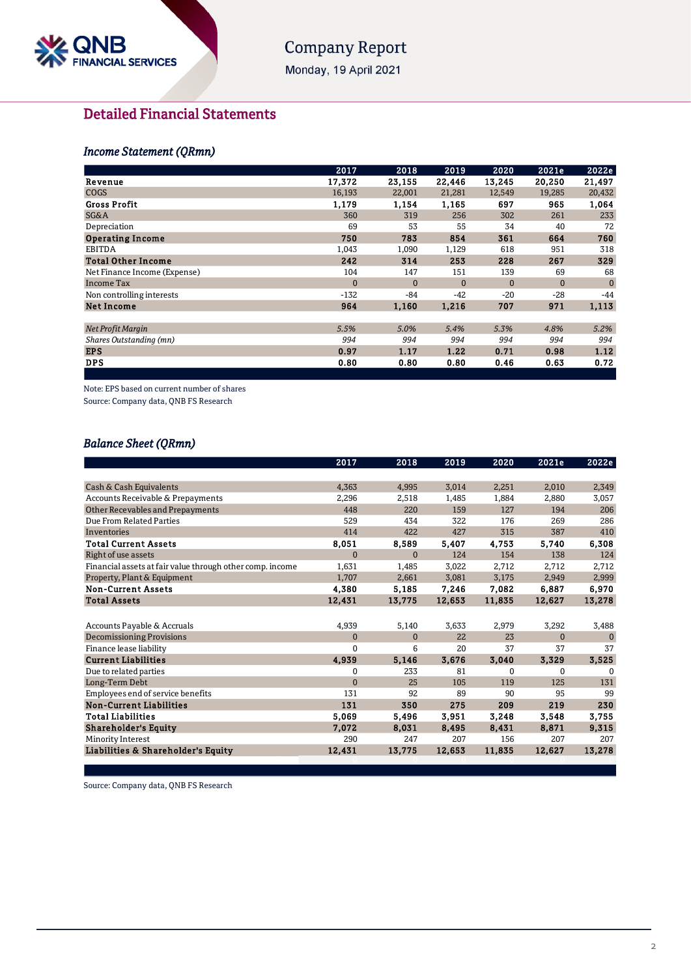

# **Company Report**

Monday, 19 April 2021

# **Detailed Financial Statements**

# **Income Statement (QRmn)**

| 2017         | 2018         | 2019     | 2020         | 2021e    | 2022e        |
|--------------|--------------|----------|--------------|----------|--------------|
| 17,372       | 23,155       | 22,446   | 13,245       | 20,250   | 21,497       |
| 16,193       | 22,001       | 21,281   | 12,549       | 19,285   | 20,432       |
| 1,179        | 1,154        | 1,165    | 697          | 965      | 1,064        |
| 360          | 319          | 256      | 302          | 261      | 233          |
| 69           | 53           | 55       | 34           | 40       | 72           |
| 750          | 783          | 854      | 361          | 664      | 760          |
| 1,043        | 1,090        | 1,129    | 618          | 951      | 318          |
| 242          | 314          | 253      | 228          | 267      | 329          |
| 104          | 147          | 151      | 139          | 69       | 68           |
| $\mathbf{0}$ | $\mathbf{0}$ | $\Omega$ | $\mathbf{0}$ | $\Omega$ | $\mathbf{0}$ |
| $-132$       | -84          | $-42$    | $-20$        | -28      | $-44$        |
| 964          | 1,160        | 1,216    | 707          | 971      | 1,113        |
|              |              |          |              |          |              |
| 5.5%         | 5.0%         | 5.4%     | 5.3%         | 4.8%     | 5.2%         |
| 994          | 994          | 994      | 994          | 994      | 994          |
| 0.97         | 1.17         | 1.22     | 0.71         | 0.98     | 1.12         |
| 0.80         | 0.80         | 0.80     | 0.46         | 0.63     | 0.72         |
|              |              |          |              |          |              |

Note: EPS based on current number of shares

Source: Company data, QNB FS Research

# **Balance Sheet (QRmn)**

|                                                           | 2017         | 2018         | 2019   | 2020     | 2021e    | 2022e        |
|-----------------------------------------------------------|--------------|--------------|--------|----------|----------|--------------|
|                                                           |              |              |        |          |          |              |
| Cash & Cash Equivalents                                   | 4,363        | 4,995        | 3,014  | 2,251    | 2,010    | 2,349        |
| Accounts Receivable & Prepayments                         | 2,296        | 2,518        | 1,485  | 1,884    | 2,880    | 3,057        |
| Other Recevables and Prepayments                          | 448          | 220          | 159    | 127      | 194      | 206          |
| Due From Related Parties                                  | 529          | 434          | 322    | 176      | 269      | 286          |
| Inventories                                               | 414          | 422          | 427    | 315      | 387      | 410          |
| <b>Total Current Assets</b>                               | 8,051        | 8,589        | 5,407  | 4,753    | 5,740    | 6,308        |
| Right of use assets                                       | $\mathbf{0}$ | $\mathbf{0}$ | 124    | 154      | 138      | 124          |
| Financial assets at fair value through other comp. income | 1,631        | 1,485        | 3,022  | 2,712    | 2,712    | 2,712        |
| Property, Plant & Equipment                               | 1,707        | 2,661        | 3,081  | 3,175    | 2,949    | 2,999        |
| <b>Non-Current Assets</b>                                 | 4,380        | 5,185        | 7,246  | 7,082    | 6,887    | 6,970        |
| <b>Total Assets</b>                                       | 12,431       | 13,775       | 12,653 | 11,835   | 12,627   | 13,278       |
|                                                           |              |              |        |          |          |              |
| Accounts Payable & Accruals                               | 4,939        | 5,140        | 3,633  | 2,979    | 3,292    | 3,488        |
| <b>Decomissioning Provisions</b>                          | $\mathbf{0}$ | $\mathbf{0}$ | 22     | 23       | $\Omega$ | $\mathbf{0}$ |
| Finance lease liability                                   | $\mathbf{0}$ | 6            | 20     | 37       | 37       | 37           |
| <b>Current Liabilities</b>                                | 4,939        | 5,146        | 3,676  | 3,040    | 3,329    | 3,525        |
| Due to related parties                                    | 0            | 233          | 81     | $\Omega$ | 0        | $\Omega$     |
| Long-Term Debt                                            | $\mathbf{0}$ | 25           | 105    | 119      | 125      | 131          |
| Employees end of service benefits                         | 131          | 92           | 89     | 90       | 95       | 99           |
| <b>Non-Current Liabilities</b>                            | 131          | 350          | 275    | 209      | 219      | 230          |
| <b>Total Liabilities</b>                                  | 5,069        | 5,496        | 3,951  | 3,248    | 3,548    | 3,755        |
| <b>Shareholder's Equity</b>                               | 7,072        | 8,031        | 8,495  | 8,431    | 8,871    | 9,315        |
| Minority Interest                                         | 290          | 247          | 207    | 156      | 207      | 207          |
| Liabilities & Shareholder's Equity                        | 12,431       | 13,775       | 12,653 | 11,835   | 12,627   | 13,278       |
|                                                           |              |              |        |          |          |              |

Source: Company data, QNB FS Research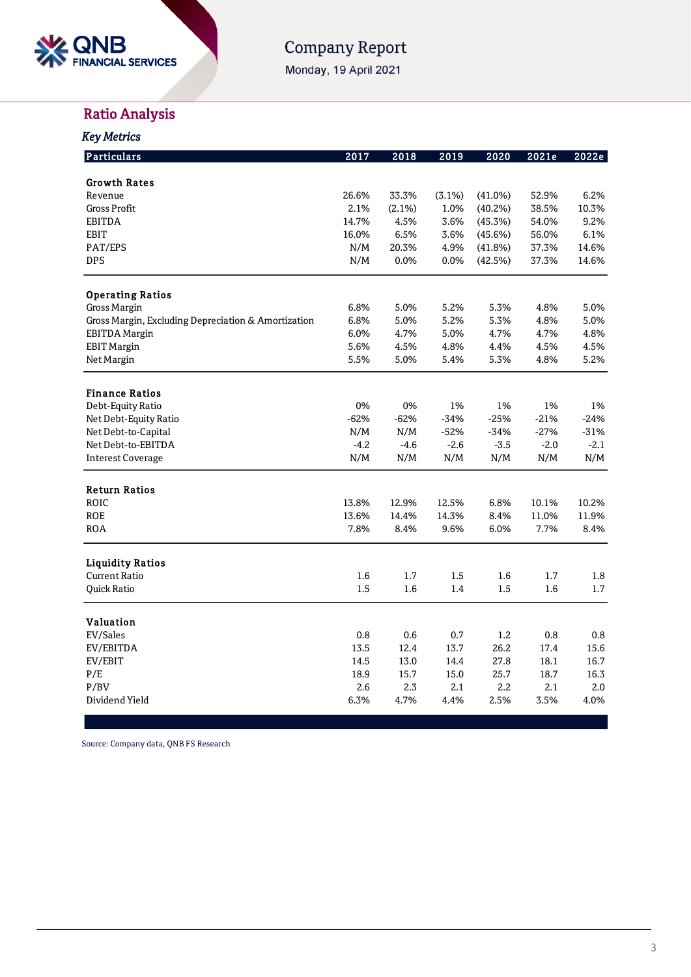

# Company Report

Monday, 19 April 2021

# Ratio Analysis

| <b>Key Metrics</b>                                  |        |        |        |         |        |        |
|-----------------------------------------------------|--------|--------|--------|---------|--------|--------|
| Particulars                                         | 2017   | 2018   | 2019   | 2020    | 2021e  | 2022e  |
| <b>Growth Rates</b>                                 |        |        |        |         |        |        |
| Revenue                                             | 26.6%  | 33.3%  | (3.1%) | (41.0%) | 52.9%  | 6.2%   |
| <b>Gross Profit</b>                                 | 2.1%   | (2.1%) | 1.0%   | (40.2%) | 38.5%  | 10.3%  |
| EBITDA                                              | 14.7%  | 4.5%   | 3.6%   | (45.3%) | 54.0%  | 9.2%   |
| <b>EBIT</b>                                         | 16.0%  | 6.5%   | 3.6%   | (45.6%) | 56.0%  | 6.1%   |
| PAT/EPS                                             | N/M    | 20.3%  | 4.9%   | (41.8%) | 37.3%  | 14.6%  |
| <b>DPS</b>                                          | N/M    | 0.0%   | 0.0%   | (42.5%) | 37.3%  | 14.6%  |
| <b>Operating Ratios</b>                             |        |        |        |         |        |        |
| Gross Margin                                        | 6.8%   | 5.0%   | 5.2%   | 5.3%    | 4.8%   | 5.0%   |
| Gross Margin, Excluding Depreciation & Amortization | 6.8%   | 5.0%   | 5.2%   | 5.3%    | 4.8%   | 5.0%   |
| <b>EBITDA</b> Margin                                | 6.0%   | 4.7%   | 5.0%   | 4.7%    | 4.7%   | 4.8%   |
| <b>EBIT Margin</b>                                  | 5.6%   | 4.5%   | 4.8%   | 4.4%    | 4.5%   | 4.5%   |
| Net Margin                                          | 5.5%   | 5.0%   | 5.4%   | 5.3%    | 4.8%   | 5.2%   |
| <b>Finance Ratios</b>                               |        |        |        |         |        |        |
| Debt-Equity Ratio                                   | 0%     | 0%     | 1%     | 1%      | 1%     | 1%     |
| Net Debt-Equity Ratio                               | $-62%$ | $-62%$ | $-34%$ | $-25%$  | $-21%$ | $-24%$ |
| Net Debt-to-Capital                                 | N/M    | N/M    | $-52%$ | $-34%$  | $-27%$ | $-31%$ |
| Net Debt-to-EBITDA                                  | $-4.2$ | $-4.6$ | $-2.6$ | $-3.5$  | $-2.0$ | $-2.1$ |
| <b>Interest Coverage</b>                            | N/M    | N/M    | N/M    | N/M     | N/M    | N/M    |
| <b>Return Ratios</b>                                |        |        |        |         |        |        |
| ROIC                                                | 13.8%  | 12.9%  | 12.5%  | 6.8%    | 10.1%  | 10.2%  |
| <b>ROE</b>                                          | 13.6%  | 14.4%  | 14.3%  | 8.4%    | 11.0%  | 11.9%  |
| <b>ROA</b>                                          | 7.8%   | 8.4%   | 9.6%   | 6.0%    | 7.7%   | 8.4%   |
| <b>Liquidity Ratios</b>                             |        |        |        |         |        |        |
| <b>Current Ratio</b>                                | 1.6    | 1.7    | 1.5    | 1.6     | 1.7    | 1.8    |
| Quick Ratio                                         | 1.5    | 1.6    | 1.4    | 1.5     | 1.6    | 1.7    |
| <b>Valuation</b>                                    |        |        |        |         |        |        |
| EV/Sales                                            | 0.8    | 0.6    | 0.7    | 1.2     | 0.8    | 0.8    |
| EV/EBITDA                                           | 13.5   | 12.4   | 13.7   | 26.2    | 17.4   | 15.6   |
| EV/EBIT                                             | 14.5   | 13.0   | 14.4   | 27.8    | 18.1   | 16.7   |
| P/E                                                 | 18.9   | 15.7   | 15.0   | 25.7    | 18.7   | 16.3   |
| P/BV                                                | 2.6    | 2.3    | 2.1    | 2.2     | 2.1    | 2.0    |
| Dividend Yield                                      | 6.3%   | 4.7%   | 4.4%   | 2.5%    | 3.5%   | 4.0%   |
|                                                     |        |        |        |         |        |        |

Source: Company data, QNB FS Research